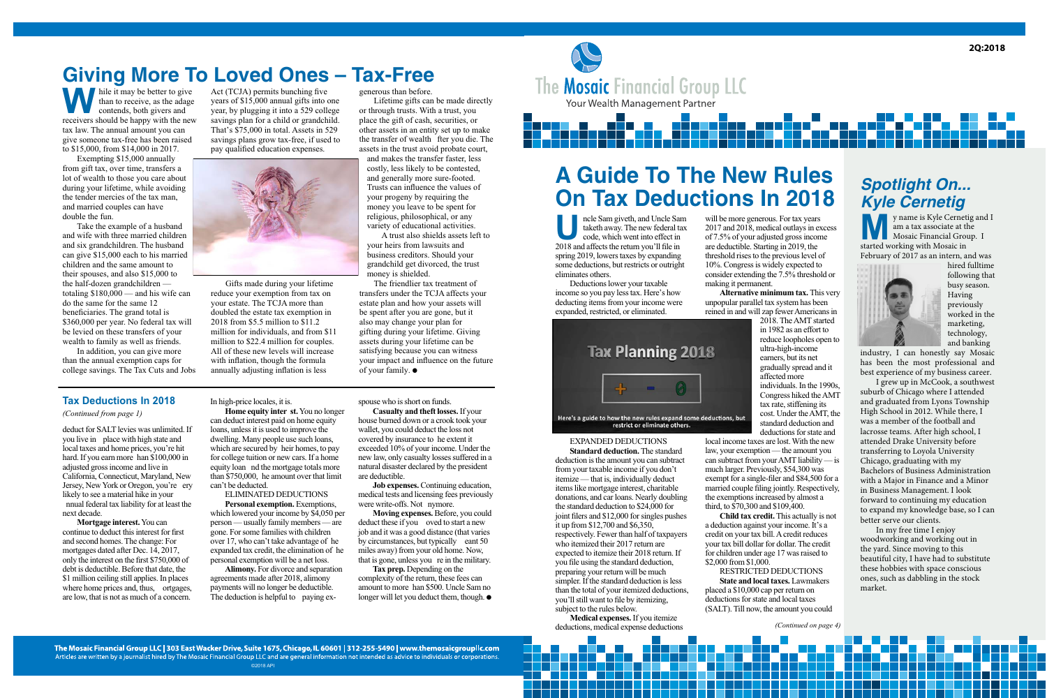

**A Guide To The New Rules On Tax Deductions In 2018** 

5656

Incle Sam giveth, and Uncle Sataketh away. The new federal to code, which went into effect in 2018 and affects the return you'll file in ncle Sam giveth, and Uncle Sam taketh away. The new federal tax code, which went into effect in spring 2019, lowers taxes by expanding some deductions, but restricts or outright eliminates others.

Deductions lower your taxable income so you pay less tax. Here's how deducting items from your income were expanded, restricted, or eliminated.

will be more generous. For tax years 2017 and 2018, medical outlays in excess of 7.5% of your adjusted gross income are deductible. Starting in 2019, the threshold rises to the previous level of 10%. Congress is widely expected to consider extending the 7.5% threshold or making it permanent.

**Alternative minimum tax.** This very unpopular parallel tax system has been reined in and will zap fewer Americans in



restrict or eliminate others.

### EXPANDED DEDUCTIONS

**Standard deduction.** The standard deduction is the amount you can subtract from your taxable income if you don't itemize — that is, individually deduct items like mortgage interest, charitable donations, and car loans. Nearly doubling the standard deduction to \$24,000 for joint filers and \$12,000 for singles pushes it up from \$12,700 and \$6,350, respectively. Fewer than half of taxpayers who itemized their 2017 return are expected to itemize their 2018 return. If you file using the standard deduction, preparing your return will be much simpler. If the standard deduction is less than the total of your itemized deductions, you'll still want to file by itemizing, subject to the rules below.

Medical expenses. If you itemize deductions, medical expense deductions 2018. The AMT started in 1982 as an effort to reduce loopholes open to ultra-high-income earners, but its net gradually spread and it affected more individuals. In the 1990s, Congress hiked the AMT tax rate, stiffening its cost. Under the AMT, the standard deduction and deductions for state and

local income taxes are lost. With the new law, your exemption — the amount you can subtract from your AMT liability — is much larger. Previously, \$54,300 was exempt for a single-filer and \$84,500 for a married couple filing jointly. Respectively, the exemptions increased by almost a third, to \$70,300 and \$109,400.

Child tax credit. This actually is not a deduction against your income. It's a credit on your tax bill. A credit reduces your tax bill dollar for dollar. The credit for children under age 17 was raised to \$2,000 from \$1,000.

RESTRICTED DEDUCTIONS **State and local taxes.** Lawmakers placed a \$10,000 cap per return on deductions for state and local taxes (SALT). Till now, the amount you could

## *Spotlight On... Kyle Cernetig*

y name is Kyle Cernetig and I am a tax associate at the Mosaic Financial Group. I started working with Mosaic in February of 2017 as an intern, and was



hired fulltime following that busy season. Having previously worked in the marketing, technology, and banking

industry, I can honestly say Mosaic has been the most professional and best experience of my business career.

 I grew up in McCook, a southwest suburb of Chicago where I attended and graduated from Lyons Township High School in 2012. While there, I was a member of the football and lacrosse teams. After high school, I attended Drake University before transferring to Loyola University Chicago, graduating with my Bachelors of Business Administration with a Major in Finance and a Minor in Business Management. I look forward to continuing my education to expand my knowledge base, so I can better serve our clients.

 In my free time I enjoy woodworking and working out in the yard. Since moving to this beautiful city, I have had to substitute these hobbies with space conscious ones, such as dabbling in the stock market.

(Continued on page 4)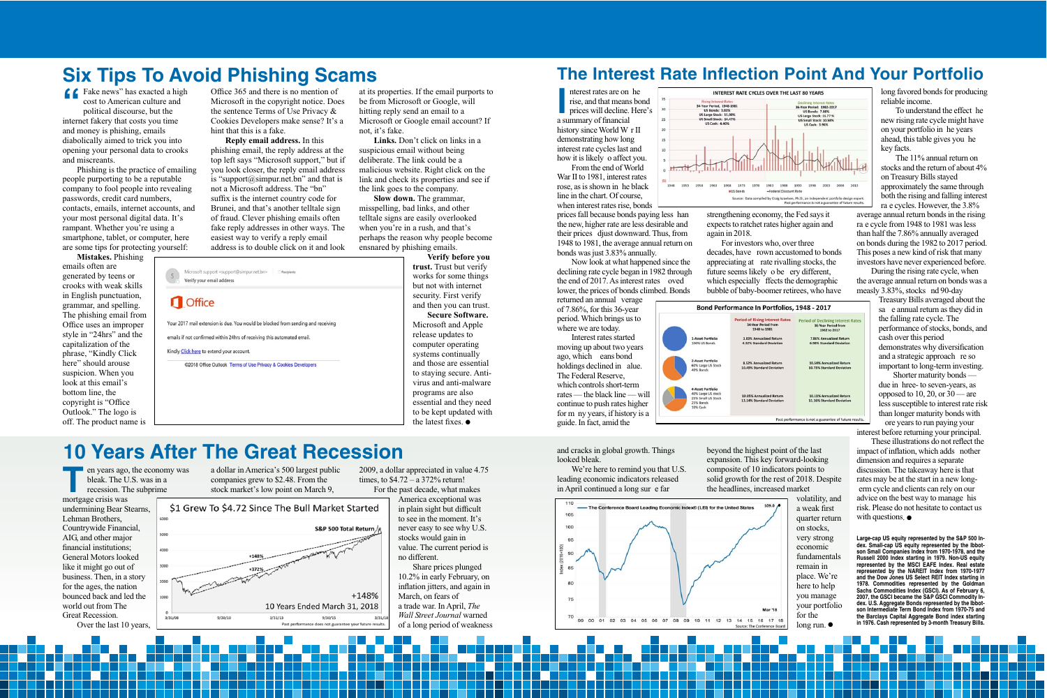## **Six Tips To Avoid Phishing Scams**

Compared to American culture and<br>political discourse, but the cost to American culture and political discourse, but the internet fakery that costs you time and money is phishing, emails diabolically aimed to trick you into opening your personal data to crooks and miscreants.

Phishing is the practice of emailing people purporting to be a reputable company to fool people into revealing passwords, credit card numbers, contacts, emails, internet accounts, and your most personal digital data. It's rampant. Whether you're using a smartphone, tablet, or computer, here are some tips for protecting yourself:

Mistakes. Phishing emails often are generated by teens or crooks with weak skills in English punctuation, grammar, and spelling. The phishing email from Office uses an improper style in "24hrs" and the capitalization of the phrase, "Kindly Click here" should arouse suspicion. When you look at this email's bottom line, the copyright is "Office Outlook." The logo is off. The product name is

Office 365 and there is no mention of Microsoft in the copyright notice. Does the sentence Terms of Use Privacy  $\&$ Cookies Developers make sense? It's a hint that this is a fake.

**Reply email address.** In this phishing email, the reply address at the top left says "Microsoft support," but if you look closer, the reply email address is "support@simpur.net.bn" and that is not a Microsoft address. The "bn" suffix is the internet country code for Brunei, and that's another telltale sign of fraud. Clever phishing emails often fake reply addresses in other ways. The easiest way to verify a reply email address is to double click on it and look

at its properties. If the email purports to be from Microsoft or Google, will hitting reply send an email to a Microsoft or Google email account? If not, it's fake.

Links. Don't click on links in a suspicious email without being deliberate. The link could be a malicious website. Right click on the link and check its properties and see if the link goes to the company.

Slow down. The grammar, misspelling, bad links, and other telltale signs are easily overlooked when you're in a rush, and that's perhaps the reason why people become ensnared by phishing emails.

Verify before you **trust.** Trust but verify works for some things but not with internet security. First verify and then you can trust.

**Secure Software.** Microsoft and Apple release updates to computer operating systems continually and those are essential to staying secure. Antivirus and anti-malware programs are also essential and they need to be kept updated with the latest fixes.  $\bullet$ 

## **10 Years After The Great Recession**

Microsoft support <support@simpur.net.bn>
CRecipients

emails if not confirmed within 24hrs of receiving this automated email.

Your 2017 mail extension is due. You would be blocked from sending and receiving

@2018 Office Outlook Terms of Use Privacy & Cookies Developers

Verify your email address

Kindly Click here to extend your account.

**Office** 

en years ago<br>bleak. The U<br>recession. Tl<br>mortgage crisis was years ago, the economy was bleak. The U.S. was in a recession. The subprime

undermining Bear Stearns, Lehman Brothers, Countrywide Financial, AIG, and other major financial institutions; General Motors looked like it might go out of business. Then, in a story for the ages, the nation bounced back and led the world out from The Great Recession.

Over the last 10 years,

a dollar in America's 500 largest public companies grew to \$2.48. From the stock market's low point on March 9,



2009, a dollar appreciated in value 4.75 times, to  $$4.72 - a\,372\%$  return!

For the past decade, what makes America exceptional was

in plain sight but difficult to see in the moment. It's never easy to see why U.S. stocks would gain in value. The current period is no different.

Share prices plunged 10.2% in early February, on inflation jitters, and again in March, on fears of a trade war. In April, The Wall Street Journal warned of a long period of weakness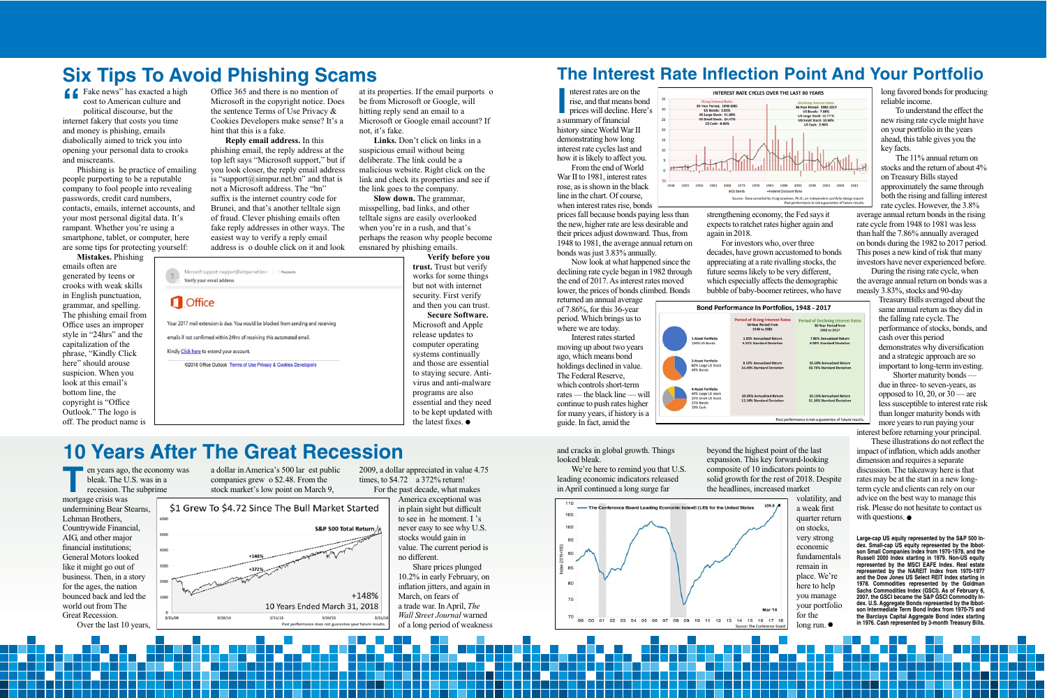### **The Interest Rate Inflection Point And Your Portfolio**

nterest rates are on<br>rise, and that means<br>prices will decline.<br>a summary of financial nterest rates are on the rise, and that means bond prices will decline. Here's history since World War II demonstrating how long interest rate cycles last and how it is likely to affect you.

From the end of World War II to 1981, interest rates rose, as is shown in the black line in the chart. Of course, when interest rates rise, bonds

prices fall because bonds paying less than the new, higher rate are less desirable and their prices adjust downward. Thus, from 1948 to 1981, the average annual return on bonds was just 3.83% annually.

Now look at what happened since the declining rate cycle began in 1982 through the end of 2017. As interest rates moved lower, the prices of bonds climbed. Bonds

returned an annual average of 7.86%, for this 36-year period. Which brings us to where we are today.

Interest rates started moving up about two years ago, which means bond holdings declined in value. The Federal Reserve, which controls short-term rates — the black line — will continue to push rates higher for many years, if history is a guide. In fact, amid the

and cracks in global growth. Things looked bleak.

We're here to remind you that U.S. leading economic indicators released in April continued a long surge far





strengthening economy, the Fed says it expects to ratchet rates higher again and again in 2018.

For investors who, over three decades, have grown accustomed to bonds appreciating at a rate rivalling stocks, the future seems likely to be very different, which especially affects the demographic bubble of baby-boomer retirees, who have



beyond the highest point of the last expansion. This key forward-looking composite of 10 indicators points to solid growth for the rest of 2018. Despite the headlines, increased market

> volatility, and a weak first quarter return on stocks, very strong economic fundamentals remain in place. We're here to help you manage your portfolio for the long run. ●

long favored bonds for producing reliable income.

To understand the effect the new rising rate cycle might have on your portfolio in the years ahead, this table gives you the key facts.

The  $11\%$  annual return on stocks and the return of about  $4\%$ on Treasury Bills stayed approximately the same through both the rising and falling interest rate cycles. However, the 3.8%

average annual return bonds in the rising rate cycle from 1948 to 1981 was less than half the 7.86% annually averaged on bonds during the 1982 to 2017 period. This poses a new kind of risk that many investors have never experienced before.

During the rising rate cycle, when the average annual return on bonds was a measly 3.83%, stocks and 90-day

> Treasury Bills averaged about the same annual return as they did in the falling rate cycle. The performance of stocks, bonds, and cash over this period demonstrates why diversification and a strategic approach are so important to long-term investing.

> Shorter maturity bonds due in three- to seven-years, as opposed to 10, 20, or  $30$  — are less susceptible to interest rate risk than longer maturity bonds with more years to run paying your

interest before returning your principal.

These illustrations do not reflect the impact of inflation, which adds another dimension and requires a separate discussion. The takeaway here is that rates may be at the start in a new longterm cycle and clients can rely on our advice on the best way to manage this risk. Please do not hesitate to contact us with questions.  $\bullet$ 

**Large-cap US equity represented by the S&P 500 Index. Small-cap US equity represented by the Ibbotson Small Companies Index from 1970-1978, and the Russell 2000 Index starting in 1979. Non-US equity represented by the MSCI EAFE Index. Real estate represented by the NAREIT Index from 1970-1977 and the Dow Jones US Select REIT Index starting in 1978. Commodities represented by the Goldman Sachs Commodities Index (GSCI). As of February 6, 2007, the GSCI became the S&P GSCI Commodity Index. U.S. Aggregate Bonds represented by the Ibbotson Intermediate Term Bond Index from 1970-75 and the Barclays Capital Aggregate Bond index starting in 1976. Cash represented by 3-month Treasury Bills.**